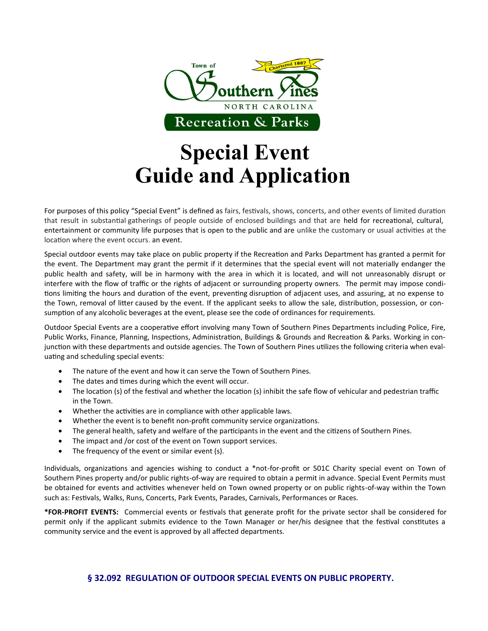

# **Special Event Guide and Application**

For purposes of this policy "Special Event" is defined as fairs, festivals, shows, concerts, and other events of limited duration that result in substantial gatherings of people outside of enclosed buildings and that are held for recreational, cultural, entertainment or community life purposes that is open to the public and are unlike the customary or usual activities at the location where the event occurs. an event.

Special outdoor events may take place on public property if the Recreation and Parks Department has granted a permit for the event. The Department may grant the permit if it determines that the special event will not materially endanger the public health and safety, will be in harmony with the area in which it is located, and will not unreasonably disrupt or interfere with the flow of traffic or the rights of adjacent or surrounding property owners. The permit may impose conditions limiting the hours and duration of the event, preventing disruption of adjacent uses, and assuring, at no expense to the Town, removal of litter caused by the event. If the applicant seeks to allow the sale, distribution, possession, or consumption of any alcoholic beverages at the event, please see the code of ordinances for requirements.

Outdoor Special Events are a cooperative effort involving many Town of Southern Pines Departments including Police, Fire, Public Works, Finance, Planning, Inspections, Administration, Buildings & Grounds and Recreation & Parks. Working in conjunction with these departments and outside agencies. The Town of Southern Pines utilizes the following criteria when evaluating and scheduling special events:

- The nature of the event and how it can serve the Town of Southern Pines.
- The dates and times during which the event will occur.
- The location (s) of the festival and whether the location (s) inhibit the safe flow of vehicular and pedestrian traffic in the Town.
- Whether the activities are in compliance with other applicable laws.
- Whether the event is to benefit non-profit community service organizations.
- The general health, safety and welfare of the participants in the event and the citizens of Southern Pines.
- The impact and /or cost of the event on Town support services.
- The frequency of the event or similar event (s).

Individuals, organizations and agencies wishing to conduct a \*not-for-profit or 501C Charity special event on Town of Southern Pines property and/or public rights-of-way are required to obtain a permit in advance. Special Event Permits must be obtained for events and activities whenever held on Town owned property or on public rights-of-way within the Town such as: Festivals, Walks, Runs, Concerts, Park Events, Parades, Carnivals, Performances or Races.

**\*FOR-PROFIT EVENTS:** Commercial events or festivals that generate profit for the private sector shall be considered for permit only if the applicant submits evidence to the Town Manager or her/his designee that the festival constitutes a community service and the event is approved by all affected departments.

# **§ 32.092 REGULATION OF OUTDOOR SPECIAL EVENTS ON PUBLIC PROPERTY.**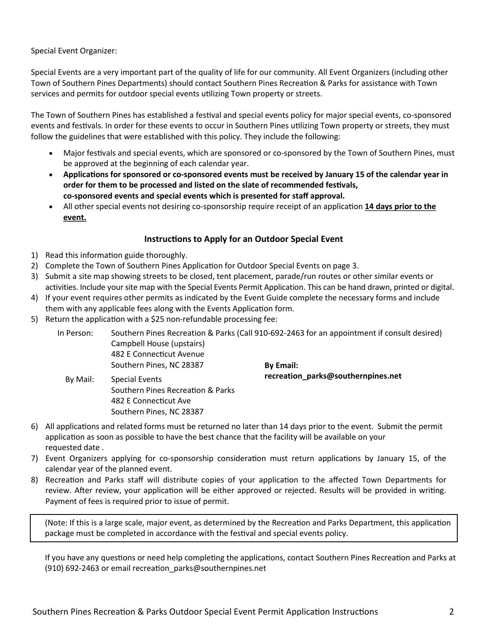Special Event Organizer:

Special Events are a very important part of the quality of life for our community. All Event Organizers (including other Town of Southern Pines Departments) should contact Southern Pines Recreation & Parks for assistance with Town services and permits for outdoor special events utilizing Town property or streets.

The Town of Southern Pines has established a festival and special events policy for major special events, co-sponsored events and festivals. In order for these events to occur in Southern Pines utilizing Town property or streets, they must follow the guidelines that were established with this policy. They include the following:

- Major festivals and special events, which are sponsored or co-sponsored by the Town of Southern Pines, must be approved at the beginning of each calendar year.
- **Applications for sponsored or co-sponsored events must be received by January 15 of the calendar year in order for them to be processed and listed on the slate of recommended festivals, co-sponsored events and special events which is presented for staff approval.**
- All other special events not desiring co-sponsorship require receipt of an application **14 days prior to the event.**

# **Instructions to Apply for an Outdoor Special Event**

- 1) Read this information guide thoroughly.
- 2) Complete the Town of Southern Pines Application for Outdoor Special Events on page 3.
- 3) Submit a site map showing streets to be closed, tent placement, parade/run routes or other similar events or activities. Include your site map with the Special Events Permit Application. This can be hand drawn, printed or digital.
- 4) If your event requires other permits as indicated by the Event Guide complete the necessary forms and include them with any applicable fees along with the Events Application form.
- 5) Return the application with a \$25 non-refundable processing fee:

Southern Pines, NC 28387

| In Person: | Southern Pines Recreation & Parks (Call 910-692-2463 for an appointment if consult desired)<br>Campbell House (upstairs)<br>482 E Connecticut Avenue |                                    |
|------------|------------------------------------------------------------------------------------------------------------------------------------------------------|------------------------------------|
|            | Southern Pines, NC 28387                                                                                                                             | <b>By Email:</b>                   |
| By Mail:   | Special Events                                                                                                                                       | recreation_parks@southernpines.net |
|            | Southern Pines Recreation & Parks                                                                                                                    |                                    |
|            | 482 E Connecticut Ave                                                                                                                                |                                    |

- 6) All applications and related forms must be returned no later than 14 days prior to the event. Submit the permit application as soon as possible to have the best chance that the facility will be available on your requested date .
- 7) Event Organizers applying for co-sponsorship consideration must return applications by January 15, of the calendar year of the planned event.
- 8) Recreation and Parks staff will distribute copies of your application to the affected Town Departments for review. After review, your application will be either approved or rejected. Results will be provided in writing. Payment of fees is required prior to issue of permit.

(Note: If this is a large scale, major event, as determined by the Recreation and Parks Department, this application package must be completed in accordance with the festival and special events policy.

If you have any questions or need help completing the applications, contact Southern Pines Recreation and Parks at (910) 692-2463 or email recreation\_parks@southernpines.net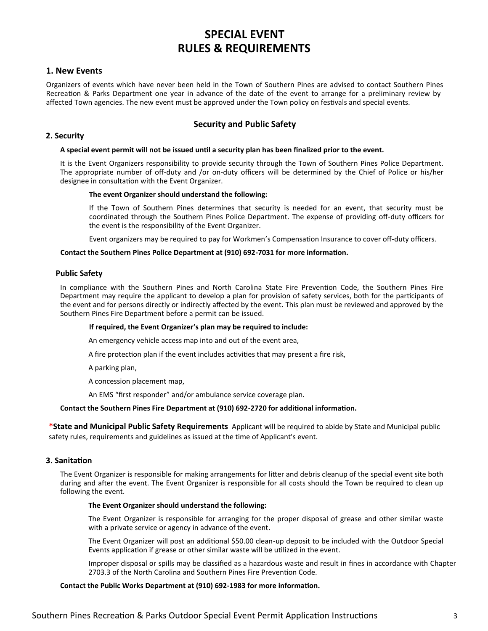# **SPECIAL EVENT RULES & REQUIREMENTS**

#### **1. New Events**

Organizers of events which have never been held in the Town of Southern Pines are advised to contact Southern Pines Recreation & Parks Department one year in advance of the date of the event to arrange for a preliminary review by affected Town agencies. The new event must be approved under the Town policy on festivals and special events.

## **Security and Public Safety**

#### **2. Security**

#### **A special event permit will not be issued until a security plan has been finalized prior to the event.**

It is the Event Organizers responsibility to provide security through the Town of Southern Pines Police Department. The appropriate number of off-duty and /or on-duty officers will be determined by the Chief of Police or his/her designee in consultation with the Event Organizer.

#### **The event Organizer should understand the following:**

If the Town of Southern Pines determines that security is needed for an event, that security must be coordinated through the Southern Pines Police Department. The expense of providing off-duty officers for the event is the responsibility of the Event Organizer.

Event organizers may be required to pay for Workmen's Compensation Insurance to cover off-duty officers.

#### **Contact the Southern Pines Police Department at (910) 692-7031 for more information.**

#### **Public Safety**

In compliance with the Southern Pines and North Carolina State Fire Prevention Code, the Southern Pines Fire Department may require the applicant to develop a plan for provision of safety services, both for the participants of the event and for persons directly or indirectly affected by the event. This plan must be reviewed and approved by the Southern Pines Fire Department before a permit can be issued.

#### **If required, the Event Organizer's plan may be required to include:**

An emergency vehicle access map into and out of the event area,

A fire protection plan if the event includes activities that may present a fire risk,

A parking plan,

A concession placement map,

An EMS "first responder" and/or ambulance service coverage plan.

#### **Contact the Southern Pines Fire Department at (910) 692-2720 for additional information.**

**\*State and Municipal Public Safety Requirements** Applicant will be required to abide by State and Municipal public safety rules, requirements and guidelines as issued at the time of Applicant's event.

#### **3. Sanitation**

The Event Organizer is responsible for making arrangements for litter and debris cleanup of the special event site both during and after the event. The Event Organizer is responsible for all costs should the Town be required to clean up following the event.

#### **The Event Organizer should understand the following:**

The Event Organizer is responsible for arranging for the proper disposal of grease and other similar waste with a private service or agency in advance of the event.

The Event Organizer will post an additional \$50.00 clean-up deposit to be included with the Outdoor Special Events application if grease or other similar waste will be utilized in the event.

Improper disposal or spills may be classified as a hazardous waste and result in fines in accordance with Chapter 2703.3 of the North Carolina and Southern Pines Fire Prevention Code.

#### **Contact the Public Works Department at (910) 692-1983 for more information.**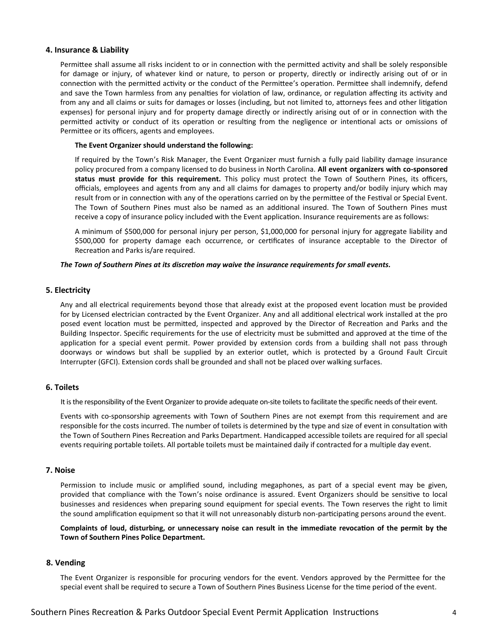#### **4. Insurance & Liability**

Permittee shall assume all risks incident to or in connection with the permitted activity and shall be solely responsible for damage or injury, of whatever kind or nature, to person or property, directly or indirectly arising out of or in connection with the permitted activity or the conduct of the Permittee's operation. Permittee shall indemnify, defend and save the Town harmless from any penalties for violation of law, ordinance, or regulation affecting its activity and from any and all claims or suits for damages or losses (including, but not limited to, attorneys fees and other litigation expenses) for personal injury and for property damage directly or indirectly arising out of or in connection with the permitted activity or conduct of its operation or resulting from the negligence or intentional acts or omissions of Permittee or its officers, agents and employees.

#### **The Event Organizer should understand the following:**

If required by the Town's Risk Manager, the Event Organizer must furnish a fully paid liability damage insurance policy procured from a company licensed to do business in North Carolina. **All event organizers with co-sponsored status must provide for this requirement.** This policy must protect the Town of Southern Pines, its officers, officials, employees and agents from any and all claims for damages to property and/or bodily injury which may result from or in connection with any of the operations carried on by the permittee of the Festival or Special Event. The Town of Southern Pines must also be named as an additional insured. The Town of Southern Pines must receive a copy of insurance policy included with the Event application. Insurance requirements are as follows:

A minimum of \$500,000 for personal injury per person, \$1,000,000 for personal injury for aggregate liability and \$500,000 for property damage each occurrence, or certificates of insurance acceptable to the Director of Recreation and Parks is/are required.

#### *The Town of Southern Pines at its discretion may waive the insurance requirements for small events.*

#### **5. Electricity**

Any and all electrical requirements beyond those that already exist at the proposed event location must be provided for by Licensed electrician contracted by the Event Organizer. Any and all additional electrical work installed at the pro posed event location must be permitted, inspected and approved by the Director of Recreation and Parks and the Building Inspector. Specific requirements for the use of electricity must be submitted and approved at the time of the application for a special event permit. Power provided by extension cords from a building shall not pass through doorways or windows but shall be supplied by an exterior outlet, which is protected by a Ground Fault Circuit Interrupter (GFCI). Extension cords shall be grounded and shall not be placed over walking surfaces.

#### **6. Toilets**

It is the responsibility of the Event Organizer to provide adequate on-site toilets to facilitate the specific needs of their event.

Events with co-sponsorship agreements with Town of Southern Pines are not exempt from this requirement and are responsible for the costs incurred. The number of toilets is determined by the type and size of event in consultation with the Town of Southern Pines Recreation and Parks Department. Handicapped accessible toilets are required for all special events requiring portable toilets. All portable toilets must be maintained daily if contracted for a multiple day event.

#### **7. Noise**

Permission to include music or amplified sound, including megaphones, as part of a special event may be given, provided that compliance with the Town's noise ordinance is assured. Event Organizers should be sensitive to local businesses and residences when preparing sound equipment for special events. The Town reserves the right to limit the sound amplification equipment so that it will not unreasonably disturb non-participating persons around the event.

**Complaints of loud, disturbing, or unnecessary noise can result in the immediate revocation of the permit by the Town of Southern Pines Police Department.** 

#### **8. Vending**

The Event Organizer is responsible for procuring vendors for the event. Vendors approved by the Permittee for the special event shall be required to secure a Town of Southern Pines Business License for the time period of the event.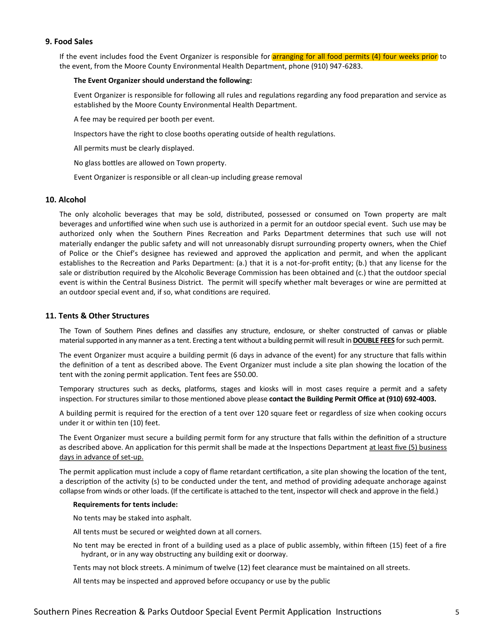## **9. Food Sales**

If the event includes food the Event Organizer is responsible for **arranging for all food permits (4) four weeks prior** to the event, from the Moore County Environmental Health Department, phone (910) 947-6283.

#### **The Event Organizer should understand the following:**

Event Organizer is responsible for following all rules and regulations regarding any food preparation and service as established by the Moore County Environmental Health Department.

A fee may be required per booth per event.

Inspectors have the right to close booths operating outside of health regulations.

All permits must be clearly displayed.

No glass bottles are allowed on Town property.

Event Organizer is responsible or all clean-up including grease removal

#### **10. Alcohol**

The only alcoholic beverages that may be sold, distributed, possessed or consumed on Town property are malt beverages and unfortified wine when such use is authorized in a permit for an outdoor special event. Such use may be authorized only when the Southern Pines Recreation and Parks Department determines that such use will not materially endanger the public safety and will not unreasonably disrupt surrounding property owners, when the Chief of Police or the Chief's designee has reviewed and approved the application and permit, and when the applicant establishes to the Recreation and Parks Department: (a.) that it is a not-for-profit entity; (b.) that any license for the sale or distribution required by the Alcoholic Beverage Commission has been obtained and (c.) that the outdoor special event is within the Central Business District. The permit will specify whether malt beverages or wine are permitted at an outdoor special event and, if so, what conditions are required.

#### **11. Tents & Other Structures**

The Town of Southern Pines defines and classifies any structure, enclosure, or shelter constructed of canvas or pliable material supported in any manner as a tent. Erecting a tent without a building permit will result in **DOUBLE FEES** for such permit.

The event Organizer must acquire a building permit (6 days in advance of the event) for any structure that falls within the definition of a tent as described above. The Event Organizer must include a site plan showing the location of the tent with the zoning permit application. Tent fees are \$50.00.

Temporary structures such as decks, platforms, stages and kiosks will in most cases require a permit and a safety inspection. For structures similar to those mentioned above please **contact the Building Permit Office at (910) 692-4003.**

A building permit is required for the erection of a tent over 120 square feet or regardless of size when cooking occurs under it or within ten (10) feet.

The Event Organizer must secure a building permit form for any structure that falls within the definition of a structure as described above. An application for this permit shall be made at the Inspections Department at least five (5) business days in advance of set-up.

The permit application must include a copy of flame retardant certification, a site plan showing the location of the tent, a description of the activity (s) to be conducted under the tent, and method of providing adequate anchorage against collapse from winds or other loads. (If the certificate is attached to the tent, inspector will check and approve in the field.)

#### **Requirements for tents include:**

No tents may be staked into asphalt.

All tents must be secured or weighted down at all corners.

- No tent may be erected in front of a building used as a place of public assembly, within fifteen (15) feet of a fire hydrant, or in any way obstructing any building exit or doorway.
- Tents may not block streets. A minimum of twelve (12) feet clearance must be maintained on all streets.

All tents may be inspected and approved before occupancy or use by the public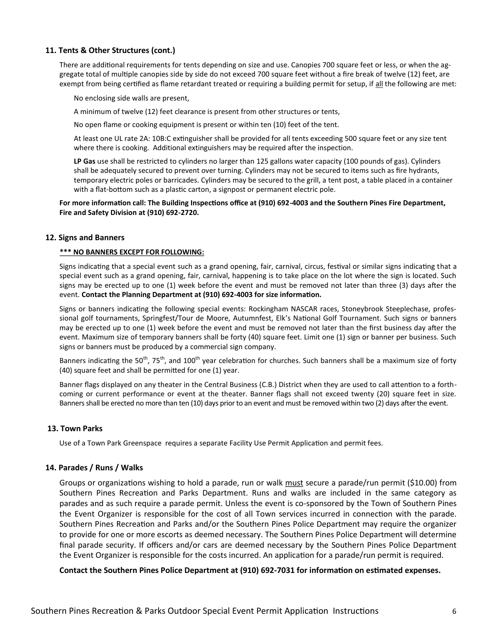#### **11. Tents & Other Structures (cont.)**

There are additional requirements for tents depending on size and use. Canopies 700 square feet or less, or when the aggregate total of multiple canopies side by side do not exceed 700 square feet without a fire break of twelve (12) feet, are exempt from being certified as flame retardant treated or requiring a building permit for setup, if all the following are met:

No enclosing side walls are present,

A minimum of twelve (12) feet clearance is present from other structures or tents,

No open flame or cooking equipment is present or within ten (10) feet of the tent.

At least one UL rate 2A: 10B:C extinguisher shall be provided for all tents exceeding 500 square feet or any size tent where there is cooking. Additional extinguishers may be required after the inspection.

**LP Gas** use shall be restricted to cylinders no larger than 125 gallons water capacity (100 pounds of gas). Cylinders shall be adequately secured to prevent over turning. Cylinders may not be secured to items such as fire hydrants, temporary electric poles or barricades. Cylinders may be secured to the grill, a tent post, a table placed in a container with a flat-bottom such as a plastic carton, a signpost or permanent electric pole.

#### **For more information call: The Building Inspections office at (910) 692-4003 and the Southern Pines Fire Department, Fire and Safety Division at (910) 692-2720.**

#### **12. Signs and Banners**

#### **\*\*\* NO BANNERS EXCEPT FOR FOLLOWING:**

Signs indicating that a special event such as a grand opening, fair, carnival, circus, festival or similar signs indicating that a special event such as a grand opening, fair, carnival, happening is to take place on the lot where the sign is located. Such signs may be erected up to one (1) week before the event and must be removed not later than three (3) days after the event. **Contact the Planning Department at (910) 692-4003 for size information.**

Signs or banners indicating the following special events: Rockingham NASCAR races, Stoneybrook Steeplechase, professional golf tournaments, Springfest/Tour de Moore, Autumnfest, Elk's National Golf Tournament. Such signs or banners may be erected up to one (1) week before the event and must be removed not later than the first business day after the event. Maximum size of temporary banners shall be forty (40) square feet. Limit one (1) sign or banner per business. Such signs or banners must be produced by a commercial sign company.

Banners indicating the 50<sup>th</sup>, 75<sup>th</sup>, and 100<sup>th</sup> year celebration for churches. Such banners shall be a maximum size of forty (40) square feet and shall be permitted for one (1) year.

Banner flags displayed on any theater in the Central Business (C.B.) District when they are used to call attention to a forthcoming or current performance or event at the theater. Banner flags shall not exceed twenty (20) square feet in size. Banners shall be erected no more than ten (10) days prior to an event and must be removed within two (2) days after the event.

## **13. Town Parks**

Use of a Town Park Greenspace requires a separate Facility Use Permit Application and permit fees.

#### **14. Parades / Runs / Walks**

Groups or organizations wishing to hold a parade, run or walk must secure a parade/run permit (\$10.00) from Southern Pines Recreation and Parks Department. Runs and walks are included in the same category as parades and as such require a parade permit. Unless the event is co-sponsored by the Town of Southern Pines the Event Organizer is responsible for the cost of all Town services incurred in connection with the parade. Southern Pines Recreation and Parks and/or the Southern Pines Police Department may require the organizer to provide for one or more escorts as deemed necessary. The Southern Pines Police Department will determine final parade security. If officers and/or cars are deemed necessary by the Southern Pines Police Department the Event Organizer is responsible for the costs incurred. An application for a parade/run permit is required.

**Contact the Southern Pines Police Department at (910) 692-7031 for information on estimated expenses.**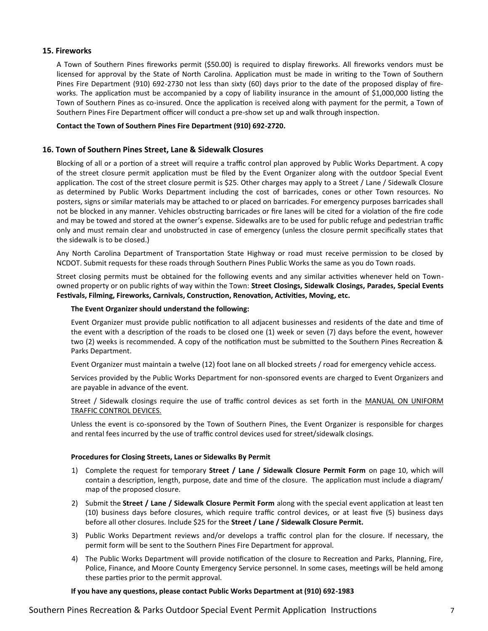#### **15. Fireworks**

A Town of Southern Pines fireworks permit (\$50.00) is required to display fireworks. All fireworks vendors must be licensed for approval by the State of North Carolina. Application must be made in writing to the Town of Southern Pines Fire Department (910) 692-2730 not less than sixty (60) days prior to the date of the proposed display of fireworks. The application must be accompanied by a copy of liability insurance in the amount of \$1,000,000 listing the Town of Southern Pines as co-insured. Once the application is received along with payment for the permit, a Town of Southern Pines Fire Department officer will conduct a pre-show set up and walk through inspection.

#### **Contact the Town of Southern Pines Fire Department (910) 692-2720.**

#### **16. Town of Southern Pines Street, Lane & Sidewalk Closures**

Blocking of all or a portion of a street will require a traffic control plan approved by Public Works Department. A copy of the street closure permit application must be filed by the Event Organizer along with the outdoor Special Event application. The cost of the street closure permit is \$25. Other charges may apply to a Street / Lane / Sidewalk Closure as determined by Public Works Department including the cost of barricades, cones or other Town resources. No posters, signs or similar materials may be attached to or placed on barricades. For emergency purposes barricades shall not be blocked in any manner. Vehicles obstructing barricades or fire lanes will be cited for a violation of the fire code and may be towed and stored at the owner's expense. Sidewalks are to be used for public refuge and pedestrian traffic only and must remain clear and unobstructed in case of emergency (unless the closure permit specifically states that the sidewalk is to be closed.)

Any North Carolina Department of Transportation State Highway or road must receive permission to be closed by NCDOT. Submit requests for these roads through Southern Pines Public Works the same as you do Town roads.

Street closing permits must be obtained for the following events and any similar activities whenever held on Townowned property or on public rights of way within the Town: **Street Closings, Sidewalk Closings, Parades, Special Events Festivals, Filming, Fireworks, Carnivals, Construction, Renovation, Activities, Moving, etc.**

#### **The Event Organizer should understand the following:**

Event Organizer must provide public notification to all adjacent businesses and residents of the date and time of the event with a description of the roads to be closed one (1) week or seven (7) days before the event, however two (2) weeks is recommended. A copy of the notification must be submitted to the Southern Pines Recreation & Parks Department.

Event Organizer must maintain a twelve (12) foot lane on all blocked streets / road for emergency vehicle access.

Services provided by the Public Works Department for non-sponsored events are charged to Event Organizers and are payable in advance of the event.

Street / Sidewalk closings require the use of traffic control devices as set forth in the MANUAL ON UNIFORM TRAFFIC CONTROL DEVICES.

Unless the event is co-sponsored by the Town of Southern Pines, the Event Organizer is responsible for charges and rental fees incurred by the use of traffic control devices used for street/sidewalk closings.

#### **Procedures for Closing Streets, Lanes or Sidewalks By Permit**

- 1) Complete the request for temporary **Street / Lane / Sidewalk Closure Permit Form** on page 10, which will contain a description, length, purpose, date and time of the closure. The application must include a diagram/ map of the proposed closure.
- 2) Submit the **Street / Lane / Sidewalk Closure Permit Form** along with the special event application at least ten (10) business days before closures, which require traffic control devices, or at least five (5) business days before all other closures. Include \$25 for the **Street / Lane / Sidewalk Closure Permit.**
- 3) Public Works Department reviews and/or develops a traffic control plan for the closure. If necessary, the permit form will be sent to the Southern Pines Fire Department for approval.
- 4) The Public Works Department will provide notification of the closure to Recreation and Parks, Planning, Fire, Police, Finance, and Moore County Emergency Service personnel. In some cases, meetings will be held among these parties prior to the permit approval.

#### **If you have any questions, please contact Public Works Department at (910) 692-1983**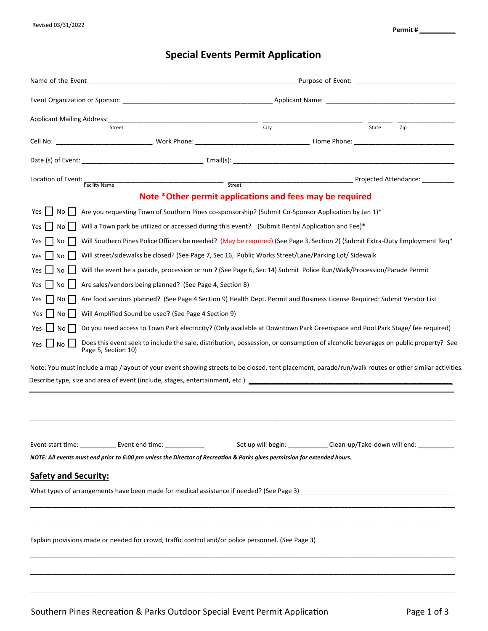# **Special Events Permit Application**

| <b>Applicant Mailing Address:</b><br>Street                                                                                                                                                                                                                                                                                                                                                                                                    | $\overline{\text{City}}$                                                                                                                                                                                                                                                                                                               | State | Zip |  |  |
|------------------------------------------------------------------------------------------------------------------------------------------------------------------------------------------------------------------------------------------------------------------------------------------------------------------------------------------------------------------------------------------------------------------------------------------------|----------------------------------------------------------------------------------------------------------------------------------------------------------------------------------------------------------------------------------------------------------------------------------------------------------------------------------------|-------|-----|--|--|
|                                                                                                                                                                                                                                                                                                                                                                                                                                                |                                                                                                                                                                                                                                                                                                                                        |       |     |  |  |
|                                                                                                                                                                                                                                                                                                                                                                                                                                                |                                                                                                                                                                                                                                                                                                                                        |       |     |  |  |
| Location of Event:<br>Facility Name                                                                                                                                                                                                                                                                                                                                                                                                            | Street                                                                                                                                                                                                                                                                                                                                 |       |     |  |  |
|                                                                                                                                                                                                                                                                                                                                                                                                                                                | Note *Other permit applications and fees may be required                                                                                                                                                                                                                                                                               |       |     |  |  |
| No II<br>Yes<br>Yes<br>No l<br>No I<br>Yes<br>No                                                                                                                                                                                                                                                                                                                                                                                               | Are you requesting Town of Southern Pines co-sponsorship? (Submit Co-Sponsor Application by Jan 1)*<br>Will a Town park be utilized or accessed during this event? (Submit Rental Application and Fee)*<br>Will Southern Pines Police Officers be needed? (May be required) (See Page 3, Section 2) (Submit Extra-Duty Employment Req* |       |     |  |  |
| Will street/sidewalks be closed? (See Page 7, Sec 16, Public Works Street/Lane/Parking Lot/ Sidewalk<br>Will the event be a parade, procession or run ? (See Page 6, Sec 14) Submit Police Run/Walk/Procession/Parade Permit<br>No<br><b>Yes</b><br>Are sales/vendors being planned? (See Page 4, Section 8)<br>l No<br>Are food vendors planned? (See Page 4 Section 9) Health Dept. Permit and Business License Required: Submit Vendor List |                                                                                                                                                                                                                                                                                                                                        |       |     |  |  |
| Yes<br>No<br>Will Amplified Sound be used? (See Page 4 Section 9)<br>Yes<br>No<br>No.<br>Yes<br>No<br>Yes<br>Page 5, Section 10)                                                                                                                                                                                                                                                                                                               | Do you need access to Town Park electricity? (Only available at Downtown Park Greenspace and Pool Park Stage/fee required)<br>Does this event seek to include the sale, distribution, possession, or consumption of alcoholic beverages on public property? See                                                                        |       |     |  |  |
| Note: You must include a map /layout of your event showing streets to be closed, tent placement, parade/run/walk routes or other similar activities.<br>Describe type, size and area of event (include, stages, entertainment, etc.) [19] Describe type, size and area of event (include, stages, entertainment, etc.)                                                                                                                         |                                                                                                                                                                                                                                                                                                                                        |       |     |  |  |
| NOTE: All events must end prior to 6:00 pm unless the Director of Recreation & Parks gives permission for extended hours.<br><b>Safety and Security:</b>                                                                                                                                                                                                                                                                                       |                                                                                                                                                                                                                                                                                                                                        |       |     |  |  |
| Explain provisions made or needed for crowd, traffic control and/or police personnel. (See Page 3)                                                                                                                                                                                                                                                                                                                                             |                                                                                                                                                                                                                                                                                                                                        |       |     |  |  |

\_\_\_\_\_\_\_\_\_\_\_\_\_\_\_\_\_\_\_\_\_\_\_\_\_\_\_\_\_\_\_\_\_\_\_\_\_\_\_\_\_\_\_\_\_\_\_\_\_\_\_\_\_\_\_\_\_\_\_\_\_\_\_\_\_\_\_\_\_\_\_\_\_\_\_\_\_\_\_\_\_\_\_\_\_\_\_\_\_\_\_\_\_\_\_\_\_\_\_\_\_\_\_\_\_\_\_\_\_\_\_\_\_\_\_\_\_\_\_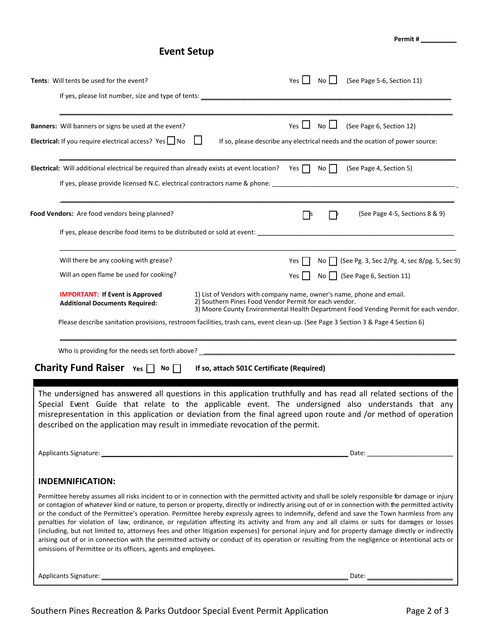**Permit # \_\_\_\_\_\_\_\_\_\_**

# **Event Setup**

| <b>Tents:</b> Will tents be used for the event?                                                                | $No$ $\Box$<br>(See Page 5-6, Section 11)<br>Yes $\vert \vert$                                                                                                                                                                                                                                                                                                                                                                                                                                                                                                                                                                                                                                                                                                                                                                                                                                         |
|----------------------------------------------------------------------------------------------------------------|--------------------------------------------------------------------------------------------------------------------------------------------------------------------------------------------------------------------------------------------------------------------------------------------------------------------------------------------------------------------------------------------------------------------------------------------------------------------------------------------------------------------------------------------------------------------------------------------------------------------------------------------------------------------------------------------------------------------------------------------------------------------------------------------------------------------------------------------------------------------------------------------------------|
|                                                                                                                |                                                                                                                                                                                                                                                                                                                                                                                                                                                                                                                                                                                                                                                                                                                                                                                                                                                                                                        |
| Banners: Will banners or signs be used at the event?<br>Electrical: If you require electrical access? Yes   No | Yes $\Box$<br>$No$ $\Box$<br>(See Page 6, Section 12)<br>$\perp$<br>If so, please describe any electrical needs and the ocation of power source:                                                                                                                                                                                                                                                                                                                                                                                                                                                                                                                                                                                                                                                                                                                                                       |
| <b>Electrical:</b> Will additional electrical be required than already exists at event location? Yes $\Box$    | No    <br>(See Page 4, Section 5)                                                                                                                                                                                                                                                                                                                                                                                                                                                                                                                                                                                                                                                                                                                                                                                                                                                                      |
| Food Vendors: Are food vendors being planned?                                                                  | (See Page 4-5, Sections 8 & 9)<br>- Is                                                                                                                                                                                                                                                                                                                                                                                                                                                                                                                                                                                                                                                                                                                                                                                                                                                                 |
|                                                                                                                |                                                                                                                                                                                                                                                                                                                                                                                                                                                                                                                                                                                                                                                                                                                                                                                                                                                                                                        |
| Will there be any cooking with grease?                                                                         | No   (See Pg. 3, Sec 2/Pg. 4, sec 8/pg. 5, Sec 9)<br>Yes                                                                                                                                                                                                                                                                                                                                                                                                                                                                                                                                                                                                                                                                                                                                                                                                                                               |
| Will an open flame be used for cooking?                                                                        | No $\Box$ (See Page 6, Section 11)<br>$Yes$                                                                                                                                                                                                                                                                                                                                                                                                                                                                                                                                                                                                                                                                                                                                                                                                                                                            |
| <b>IMPORTANT: If Event is Approved</b><br><b>Additional Documents Required:</b>                                | 1) List of Vendors with company name, owner's name, phone and email.<br>2) Southern Pines Food Vendor Permit for each vendor.<br>3) Moore County Environmental Health Department Food Vending Permit for each vendor.                                                                                                                                                                                                                                                                                                                                                                                                                                                                                                                                                                                                                                                                                  |
|                                                                                                                | Please describe sanitation provisions, restroom facilities, trash cans, event clean-up. (See Page 3 Section 3 & Page 4 Section 6)                                                                                                                                                                                                                                                                                                                                                                                                                                                                                                                                                                                                                                                                                                                                                                      |
|                                                                                                                |                                                                                                                                                                                                                                                                                                                                                                                                                                                                                                                                                                                                                                                                                                                                                                                                                                                                                                        |
| <b>Charity Fund Raiser</b> $Yes \Box No \Box$                                                                  | If so, attach 501C Certificate (Required)                                                                                                                                                                                                                                                                                                                                                                                                                                                                                                                                                                                                                                                                                                                                                                                                                                                              |
| described on the application may result in immediate revocation of the permit.                                 | The undersigned has answered all questions in this application truthfully and has read all related sections of the<br>Special Event Guide that relate to the applicable event. The undersigned also understands that any<br>misrepresentation in this application or deviation from the final agreed upon route and /or method of operation<br>Date: the contract of the contract of the contract of the contract of the contract of the contract of the contract of the contract of the contract of the contract of the contract of the contract of the contract of the cont                                                                                                                                                                                                                                                                                                                          |
|                                                                                                                |                                                                                                                                                                                                                                                                                                                                                                                                                                                                                                                                                                                                                                                                                                                                                                                                                                                                                                        |
| <b>INDEMNIFICATION:</b><br>omissions of Permittee or its officers, agents and employees.                       | Permittee hereby assumes all risks incident to or in connection with the permitted activity and shall be solely responsible for damage or injury<br>or contagion of whatever kind or nature, to person or property, directly or indirectly arising out of or in connection with the permitted activity<br>or the conduct of the Permittee's operation. Permittee hereby expressly agrees to indemnify, defend and save the Town harmless from any<br>penalties for violation of law, ordinance, or regulation affecting its activity and from any and all claims or suits for damages or losses<br>(including, but not limited to, attorneys fees and other litigation expenses) for personal injury and for property damage directly or indirectly<br>arising out of or in connection with the permitted activity or conduct of its operation or resulting from the negligence or intentional acts or |
|                                                                                                                | Date:                                                                                                                                                                                                                                                                                                                                                                                                                                                                                                                                                                                                                                                                                                                                                                                                                                                                                                  |